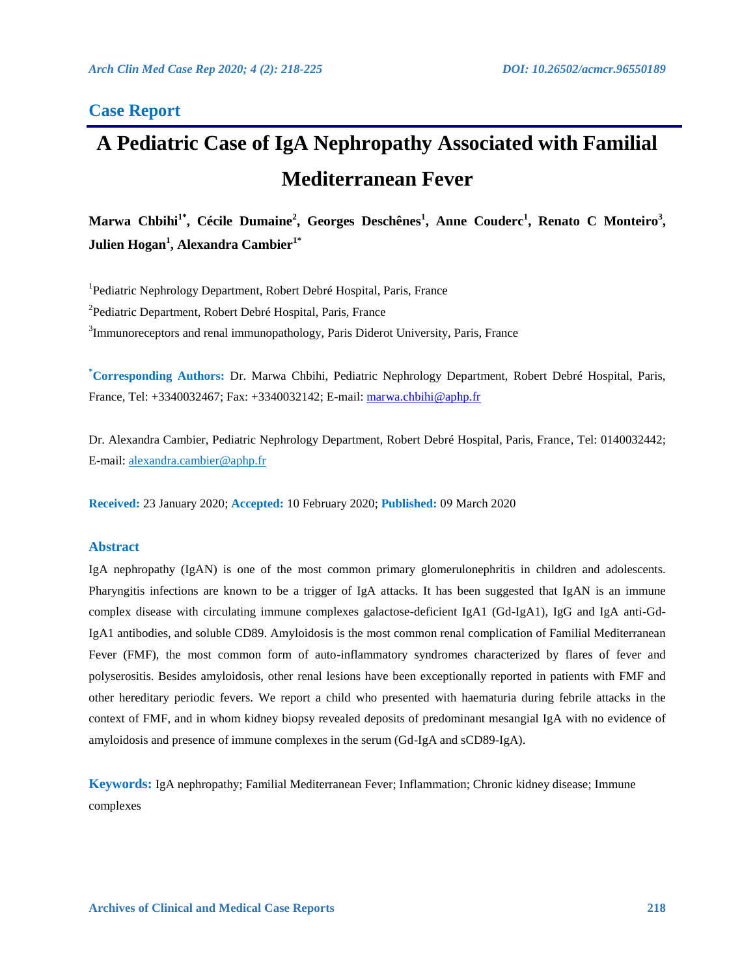### **Case Report**

# **A Pediatric Case of IgA Nephropathy Associated with Familial Mediterranean Fever**

Marwa Chbihi<sup>1\*</sup>, Cécile Dumaine<sup>2</sup>, Georges Deschênes<sup>1</sup>, Anne Couderc<sup>1</sup>, Renato C Monteiro<sup>3</sup>,  $\mathbf{Julien Hogan}^{1}, \mathbf{Alexandra Cambier}^{1^*}$ 

<sup>1</sup>Pediatric Nephrology Department, Robert Debré Hospital, Paris, France <sup>2</sup>Pediatric Department, Robert Debré Hospital, Paris, France <sup>3</sup>Immunoreceptors and renal immunopathology, Paris Diderot University, Paris, France

**\* Corresponding Authors:** Dr. Marwa Chbihi, Pediatric Nephrology Department, Robert Debré Hospital, Paris, France, Tel: +3340032467; Fax: +3340032142; E-mail: [marwa.chbihi@aphp.fr](mailto:marwa.chbihi@aphp.fr) 

Dr. Alexandra Cambier, Pediatric Nephrology Department, Robert Debré Hospital, Paris, France, Tel: 0140032442; E-mail: alexandra.cambier@aphp.fr

**Received:** 23 January 2020; **Accepted:** 10 February 2020; **Published:** 09 March 2020

#### **Abstract**

IgA nephropathy (IgAN) is one of the most common primary glomerulonephritis in children and adolescents. Pharyngitis infections are known to be a trigger of IgA attacks. It has been suggested that IgAN is an immune complex disease with circulating immune complexes galactose-deficient IgA1 (Gd-IgA1), IgG and IgA anti-Gd-IgA1 antibodies, and soluble CD89. Amyloidosis is the most common renal complication of Familial Mediterranean Fever (FMF), the most common form of auto-inflammatory syndromes characterized by flares of fever and polyserositis. Besides amyloidosis, other renal lesions have been exceptionally reported in patients with FMF and other hereditary periodic fevers. We report a child who presented with haematuria during febrile attacks in the context of FMF, and in whom kidney biopsy revealed deposits of predominant mesangial IgA with no evidence of amyloidosis and presence of immune complexes in the serum (Gd-IgA and sCD89-IgA).

**Keywords:** IgA nephropathy; Familial Mediterranean Fever; Inflammation; Chronic kidney disease; Immune complexes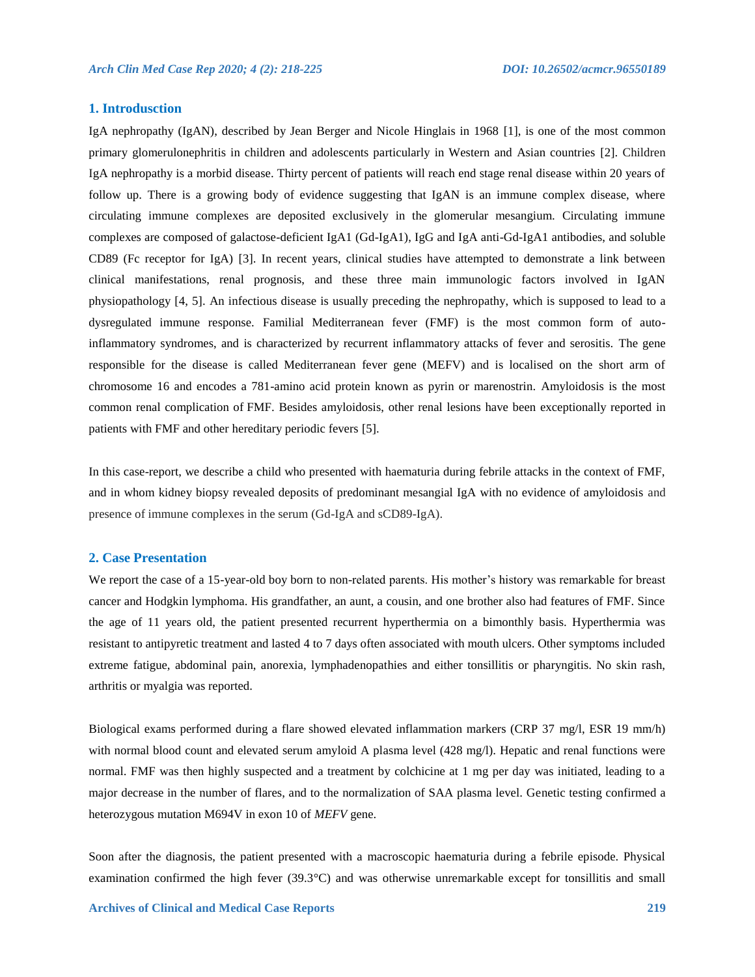#### **1. Introdusction**

IgA nephropathy (IgAN), described by Jean Berger and Nicole Hinglais in 1968 [1], is one of the most common primary glomerulonephritis in children and adolescents particularly in Western and Asian countries [2]. Children IgA nephropathy is a morbid disease. Thirty percent of patients will reach end stage renal disease within 20 years of follow up. There is a growing body of evidence suggesting that IgAN is an immune complex disease, where circulating immune complexes are deposited exclusively in the glomerular mesangium. Circulating immune complexes are composed of galactose-deficient IgA1 (Gd-IgA1), IgG and IgA anti-Gd-IgA1 antibodies, and soluble CD89 (Fc receptor for IgA) [3]. In recent years, clinical studies have attempted to demonstrate a link between clinical manifestations, renal prognosis, and these three main immunologic factors involved in IgAN physiopathology [4, 5]. An infectious disease is usually preceding the nephropathy, which is supposed to lead to a dysregulated immune response. Familial Mediterranean fever (FMF) is the most common form of autoinflammatory syndromes, and is characterized by recurrent inflammatory attacks of fever and serositis. The gene responsible for the disease is called Mediterranean fever gene (MEFV) and is localised on the short arm of chromosome 16 and encodes a 781-amino acid protein known as pyrin or marenostrin. Amyloidosis is the most common renal complication of FMF. Besides amyloidosis, other renal lesions have been exceptionally reported in patients with FMF and other hereditary periodic fevers [5].

In this case-report, we describe a child who presented with haematuria during febrile attacks in the context of FMF, and in whom kidney biopsy revealed deposits of predominant mesangial IgA with no evidence of amyloidosis and presence of immune complexes in the serum (Gd-IgA and sCD89-IgA).

#### **2. Case Presentation**

We report the case of a 15-year-old boy born to non-related parents. His mother's history was remarkable for breast cancer and Hodgkin lymphoma. His grandfather, an aunt, a cousin, and one brother also had features of FMF. Since the age of 11 years old, the patient presented recurrent hyperthermia on a bimonthly basis. Hyperthermia was resistant to antipyretic treatment and lasted 4 to 7 days often associated with mouth ulcers. Other symptoms included extreme fatigue, abdominal pain, anorexia, lymphadenopathies and either tonsillitis or pharyngitis. No skin rash, arthritis or myalgia was reported.

Biological exams performed during a flare showed elevated inflammation markers (CRP 37 mg/l, ESR 19 mm/h) with normal blood count and elevated serum amyloid A plasma level (428 mg/l). Hepatic and renal functions were normal. FMF was then highly suspected and a treatment by colchicine at 1 mg per day was initiated, leading to a major decrease in the number of flares, and to the normalization of SAA plasma level. Genetic testing confirmed a heterozygous mutation M694V in exon 10 of *MEFV* gene.

Soon after the diagnosis, the patient presented with a macroscopic haematuria during a febrile episode. Physical examination confirmed the high fever (39.3°C) and was otherwise unremarkable except for tonsillitis and small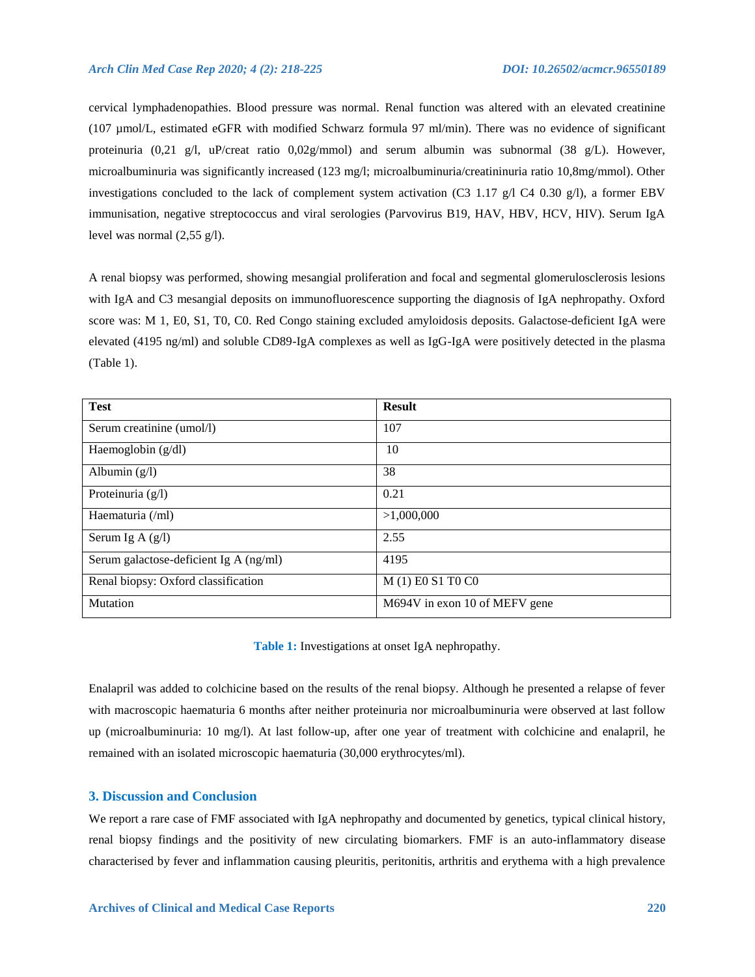cervical lymphadenopathies. Blood pressure was normal. Renal function was altered with an elevated creatinine (107 µmol/L, estimated eGFR with modified Schwarz formula 97 ml/min). There was no evidence of significant proteinuria (0,21 g/l, uP/creat ratio 0,02g/mmol) and serum albumin was subnormal (38 g/L). However, microalbuminuria was significantly increased (123 mg/l; microalbuminuria/creatininuria ratio 10,8mg/mmol). Other investigations concluded to the lack of complement system activation (C3 1.17 g/l C4 0.30 g/l), a former EBV immunisation, negative streptococcus and viral serologies (Parvovirus B19, HAV, HBV, HCV, HIV). Serum IgA level was normal (2,55 g/l).

A renal biopsy was performed, showing mesangial proliferation and focal and segmental glomerulosclerosis lesions with IgA and C3 mesangial deposits on immunofluorescence supporting the diagnosis of IgA nephropathy. Oxford score was: M 1, E0, S1, T0, C0. Red Congo staining excluded amyloidosis deposits. Galactose-deficient IgA were elevated (4195 ng/ml) and soluble CD89-IgA complexes as well as IgG-IgA were positively detected in the plasma (Table 1).

| <b>Test</b>                            | <b>Result</b>                 |
|----------------------------------------|-------------------------------|
| Serum creatinine (umol/l)              | 107                           |
| Haemoglobin $(g/dl)$                   | 10                            |
| Albumin $(g/l)$                        | 38                            |
| Proteinuria $(g/l)$                    | 0.21                          |
| Haematuria (/ml)                       | >1,000,000                    |
| Serum Ig A $(g/l)$                     | 2.55                          |
| Serum galactose-deficient Ig A (ng/ml) | 4195                          |
| Renal biopsy: Oxford classification    | M (1) E0 S1 T0 C0             |
| Mutation                               | M694V in exon 10 of MEFV gene |

**Table 1:** Investigations at onset IgA nephropathy.

Enalapril was added to colchicine based on the results of the renal biopsy. Although he presented a relapse of fever with macroscopic haematuria 6 months after neither proteinuria nor microalbuminuria were observed at last follow up (microalbuminuria: 10 mg/l). At last follow-up, after one year of treatment with colchicine and enalapril, he remained with an isolated microscopic haematuria (30,000 erythrocytes/ml).

#### **3. Discussion and Conclusion**

We report a rare case of FMF associated with IgA nephropathy and documented by genetics, typical clinical history, renal biopsy findings and the positivity of new circulating biomarkers. FMF is an auto-inflammatory disease characterised by fever and inflammation causing pleuritis, peritonitis, arthritis and erythema with a high prevalence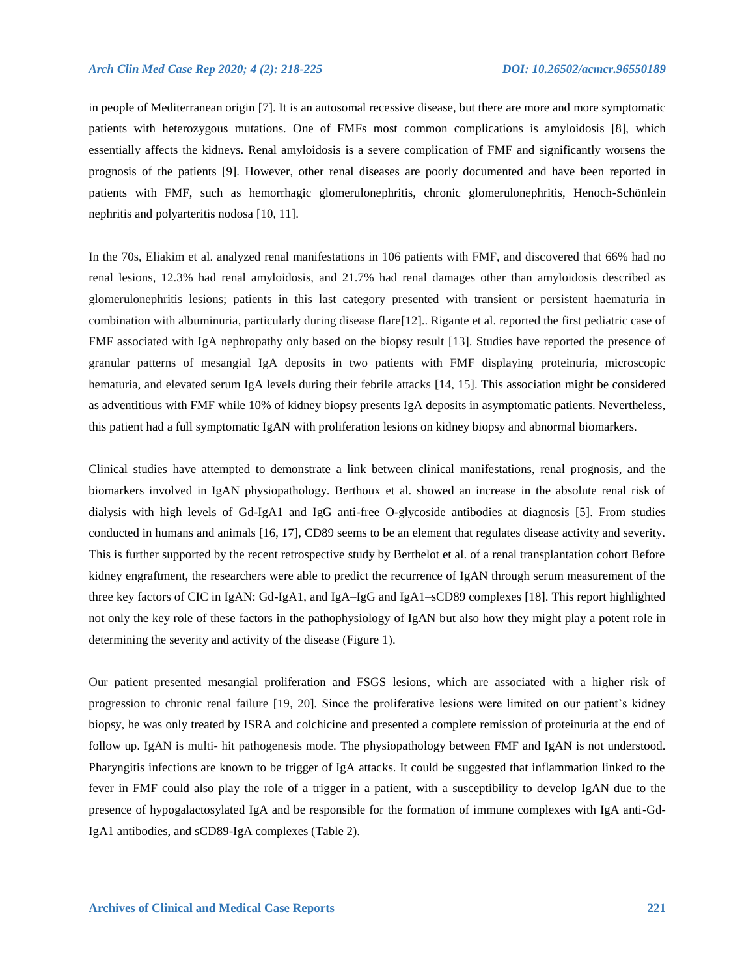in people of Mediterranean origin [7]. It is an autosomal recessive disease, but there are more and more symptomatic patients with heterozygous mutations. One of FMFs most common complications is amyloidosis [8], which essentially affects the kidneys. Renal amyloidosis is a severe complication of FMF and significantly worsens the prognosis of the patients [9]. However, other renal diseases are poorly documented and have been reported in patients with FMF, such as hemorrhagic glomerulonephritis, chronic glomerulonephritis, Henoch-Schönlein nephritis and polyarteritis nodosa [10, 11].

In the 70s, Eliakim et al. analyzed renal manifestations in 106 patients with FMF, and discovered that 66% had no renal lesions, 12.3% had renal amyloidosis, and 21.7% had renal damages other than amyloidosis described as glomerulonephritis lesions; patients in this last category presented with transient or persistent haematuria in combination with albuminuria, particularly during disease flare[12].. Rigante et al. reported the first pediatric case of FMF associated with IgA nephropathy only based on the biopsy result [13]. Studies have reported the presence of granular patterns of mesangial IgA deposits in two patients with FMF displaying proteinuria, microscopic hematuria, and elevated serum IgA levels during their febrile attacks [14, 15]. This association might be considered as adventitious with FMF while 10% of kidney biopsy presents IgA deposits in asymptomatic patients. Nevertheless, this patient had a full symptomatic IgAN with proliferation lesions on kidney biopsy and abnormal biomarkers.

Clinical studies have attempted to demonstrate a link between clinical manifestations, renal prognosis, and the biomarkers involved in IgAN physiopathology. Berthoux et al. showed an increase in the absolute renal risk of dialysis with high levels of Gd-IgA1 and IgG anti-free O-glycoside antibodies at diagnosis [5]. From studies conducted in humans and animals [16, 17], CD89 seems to be an element that regulates disease activity and severity. This is further supported by the recent retrospective study by Berthelot et al. of a renal transplantation cohort Before kidney engraftment, the researchers were able to predict the recurrence of IgAN through serum measurement of the three key factors of CIC in IgAN: Gd-IgA1, and IgA–IgG and IgA1–sCD89 complexes [18]. This report highlighted not only the key role of these factors in the pathophysiology of IgAN but also how they might play a potent role in determining the severity and activity of the disease (Figure 1).

Our patient presented mesangial proliferation and FSGS lesions, which are associated with a higher risk of progression to chronic renal failure [19, 20]. Since the proliferative lesions were limited on our patient's kidney biopsy, he was only treated by ISRA and colchicine and presented a complete remission of proteinuria at the end of follow up. IgAN is multi- hit pathogenesis mode. The physiopathology between FMF and IgAN is not understood. Pharyngitis infections are known to be trigger of IgA attacks. It could be suggested that inflammation linked to the fever in FMF could also play the role of a trigger in a patient, with a susceptibility to develop IgAN due to the presence of hypogalactosylated IgA and be responsible for the formation of immune complexes with IgA anti-Gd-IgA1 antibodies, and sCD89-IgA complexes (Table 2).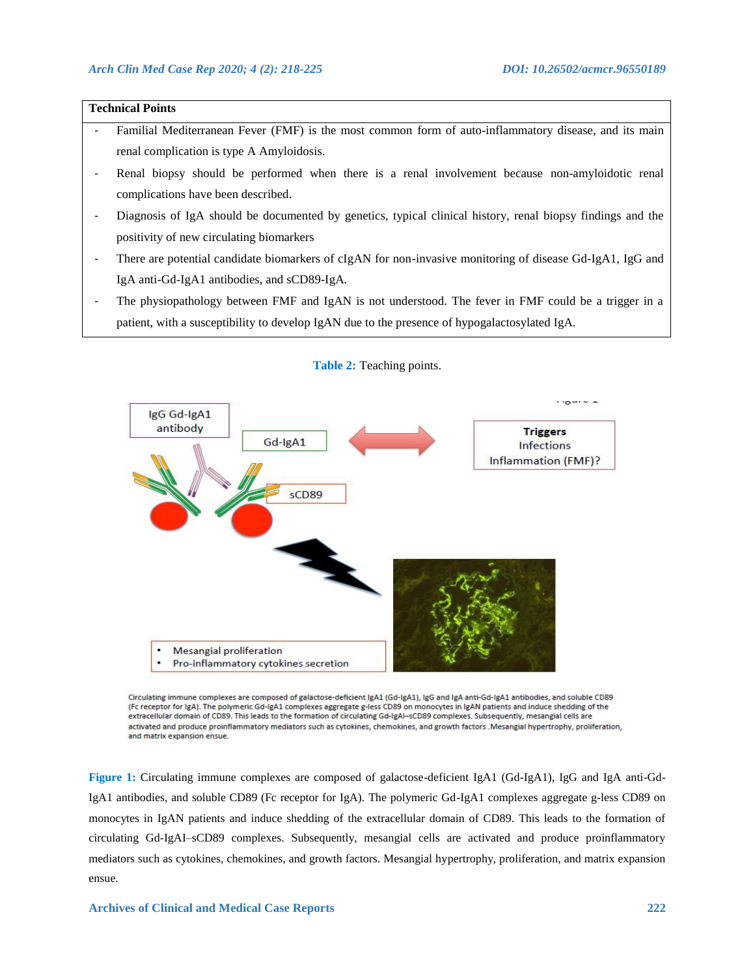## **Technical Points** Familial Mediterranean Fever (FMF) is the most common form of auto-inflammatory disease, and its main renal complication is type A Amyloidosis. - Renal biopsy should be performed when there is a renal involvement because non-amyloidotic renal complications have been described. - Diagnosis of IgA should be documented by genetics, typical clinical history, renal biopsy findings and the positivity of new circulating biomarkers There are potential candidate biomarkers of cIgAN for non-invasive monitoring of disease Gd-IgA1, IgG and IgA anti-Gd-IgA1 antibodies, and sCD89-IgA.

The physiopathology between FMF and IgAN is not understood. The fever in FMF could be a trigger in a patient, with a susceptibility to develop IgAN due to the presence of hypogalactosylated IgA.



#### **Table 2:** Teaching points.

Circulating immune complexes are composed of galactose-deficient IgA1 (Gd-IgA1), IgG and IgA anti-Gd-IgA1 antibodies, and soluble CD89 (Fc receptor for IgA). The polymeric Gd-IgA1 complexes aggregate g-less CD89 on monocytes in IgAN patients and induce shedding of the extracellular domain of CD89. This leads to the formation of circulating Gd-IgAl-sCD89 complexes. Subsequently, mesangial cells are activated and produce proinflammatory mediators such as cytokines, chemokines, and growth factors . Mesangial hypertrophy, proliferation, and matrix expansion ensue.

**Figure 1:** Circulating immune complexes are composed of galactose-deficient IgA1 (Gd-IgA1), IgG and IgA anti-Gd-IgA1 antibodies, and soluble CD89 (Fc receptor for IgA). The polymeric Gd-IgA1 complexes aggregate g-less CD89 on monocytes in IgAN patients and induce shedding of the extracellular domain of CD89. This leads to the formation of circulating Gd-IgAI–sCD89 complexes. Subsequently, mesangial cells are activated and produce proinflammatory mediators such as cytokines, chemokines, and growth factors. Mesangial hypertrophy, proliferation, and matrix expansion ensue.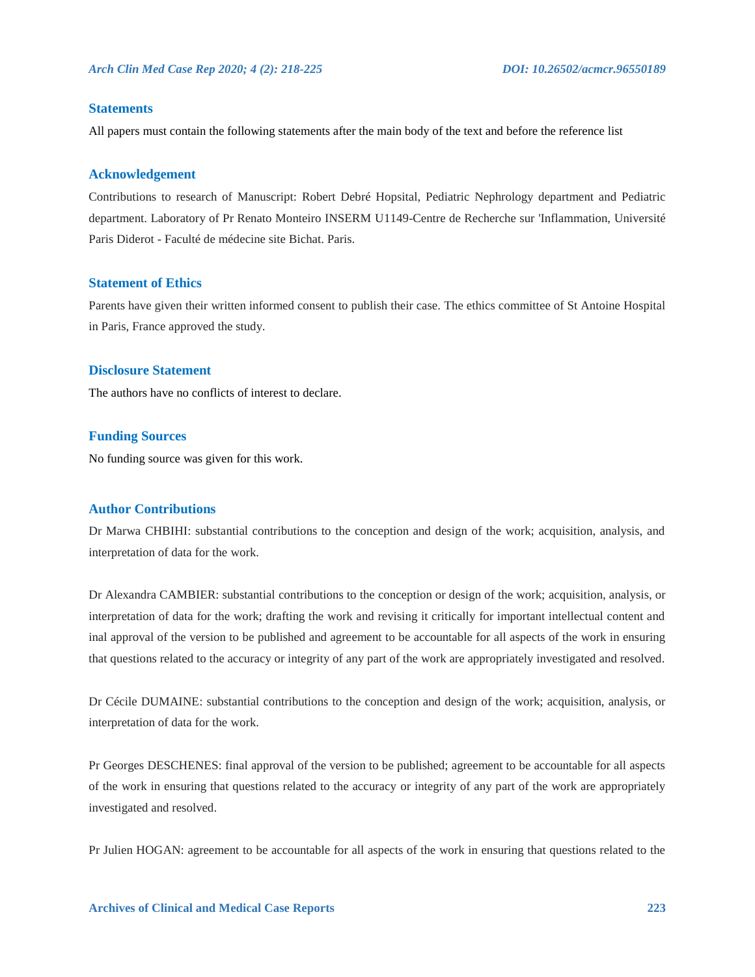#### **Statements**

All papers must contain the following statements after the main body of the text and before the reference list

#### **Acknowledgement**

Contributions to research of Manuscript: Robert Debré Hopsital, Pediatric Nephrology department and Pediatric department. Laboratory of Pr Renato Monteiro INSERM U1149-Centre de Recherche sur 'Inflammation, Université Paris Diderot - Faculté de médecine site Bichat. Paris.

#### **Statement of Ethics**

Parents have given their written informed consent to publish their case. The ethics committee of St Antoine Hospital in Paris, France approved the study.

#### **Disclosure Statement**

The authors have no conflicts of interest to declare.

#### **Funding Sources**

No funding source was given for this work.

#### **Author Contributions**

Dr Marwa CHBIHI: substantial contributions to the conception and design of the work; acquisition, analysis, and interpretation of data for the work.

Dr Alexandra CAMBIER: substantial contributions to the conception or design of the work; acquisition, analysis, or interpretation of data for the work; drafting the work and revising it critically for important intellectual content and inal approval of the version to be published and agreement to be accountable for all aspects of the work in ensuring that questions related to the accuracy or integrity of any part of the work are appropriately investigated and resolved.

Dr Cécile DUMAINE: substantial contributions to the conception and design of the work; acquisition, analysis, or interpretation of data for the work.

Pr Georges DESCHENES: final approval of the version to be published; agreement to be accountable for all aspects of the work in ensuring that questions related to the accuracy or integrity of any part of the work are appropriately investigated and resolved.

Pr Julien HOGAN: agreement to be accountable for all aspects of the work in ensuring that questions related to the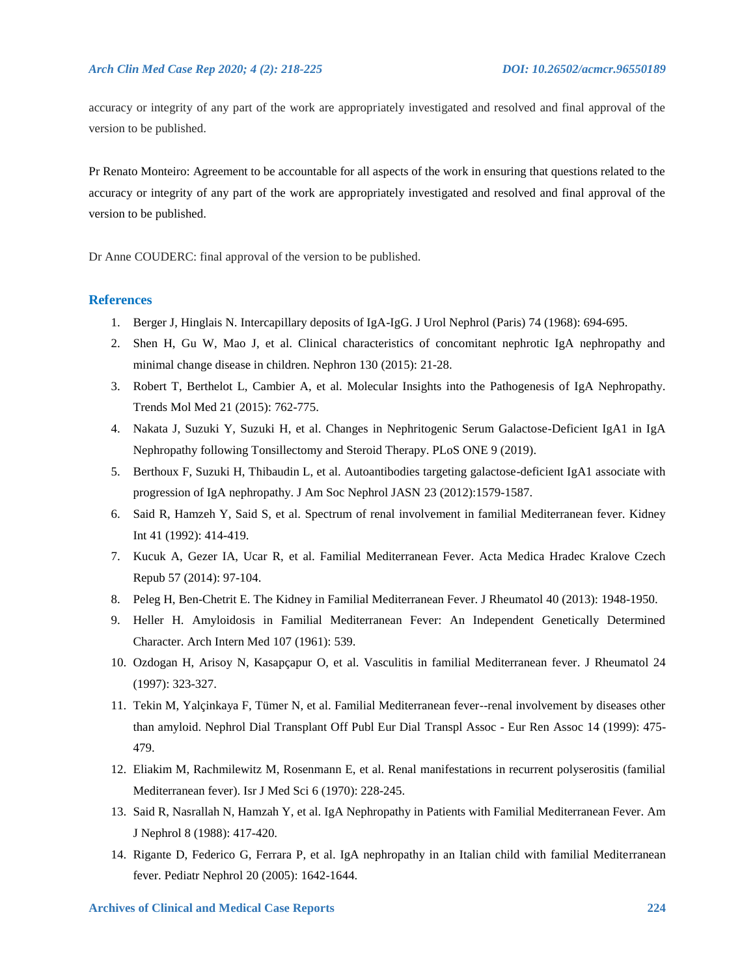accuracy or integrity of any part of the work are appropriately investigated and resolved and final approval of the version to be published.

Pr Renato Monteiro: Agreement to be accountable for all aspects of the work in ensuring that questions related to the accuracy or integrity of any part of the work are appropriately investigated and resolved and final approval of the version to be published.

Dr Anne COUDERC: final approval of the version to be published.

#### **References**

- 1. Berger J, Hinglais N. Intercapillary deposits of IgA-IgG. J Urol Nephrol (Paris) 74 (1968): 694-695.
- 2. Shen H, Gu W, Mao J, et al. Clinical characteristics of concomitant nephrotic IgA nephropathy and minimal change disease in children. Nephron 130 (2015): 21-28.
- 3. Robert T, Berthelot L, Cambier A, et al. Molecular Insights into the Pathogenesis of IgA Nephropathy. Trends Mol Med 21 (2015): 762-775.
- 4. Nakata J, Suzuki Y, Suzuki H, et al. Changes in Nephritogenic Serum Galactose-Deficient IgA1 in IgA Nephropathy following Tonsillectomy and Steroid Therapy. PLoS ONE 9 (2019).
- 5. Berthoux F, Suzuki H, Thibaudin L, et al. Autoantibodies targeting galactose-deficient IgA1 associate with progression of IgA nephropathy. J Am Soc Nephrol JASN 23 (2012):1579-1587.
- 6. Said R, Hamzeh Y, Said S, et al. Spectrum of renal involvement in familial Mediterranean fever. Kidney Int 41 (1992): 414-419.
- 7. Kucuk A, Gezer IA, Ucar R, et al. Familial Mediterranean Fever. Acta Medica Hradec Kralove Czech Repub 57 (2014): 97-104.
- 8. Peleg H, Ben-Chetrit E. The Kidney in Familial Mediterranean Fever. J Rheumatol 40 (2013): 1948-1950.
- 9. Heller H. Amyloidosis in Familial Mediterranean Fever: An Independent Genetically Determined Character. Arch Intern Med 107 (1961): 539.
- 10. Ozdogan H, Arisoy N, Kasapçapur O, et al. Vasculitis in familial Mediterranean fever. J Rheumatol 24 (1997): 323-327.
- 11. Tekin M, Yalçinkaya F, Tümer N, et al. Familial Mediterranean fever--renal involvement by diseases other than amyloid. Nephrol Dial Transplant Off Publ Eur Dial Transpl Assoc - Eur Ren Assoc 14 (1999): 475- 479.
- 12. Eliakim M, Rachmilewitz M, Rosenmann E, et al. Renal manifestations in recurrent polyserositis (familial Mediterranean fever). Isr J Med Sci 6 (1970): 228-245.
- 13. Said R, Nasrallah N, Hamzah Y, et al. IgA Nephropathy in Patients with Familial Mediterranean Fever. Am J Nephrol 8 (1988): 417-420.
- 14. Rigante D, Federico G, Ferrara P, et al. IgA nephropathy in an Italian child with familial Mediterranean fever. Pediatr Nephrol 20 (2005): 1642-1644.